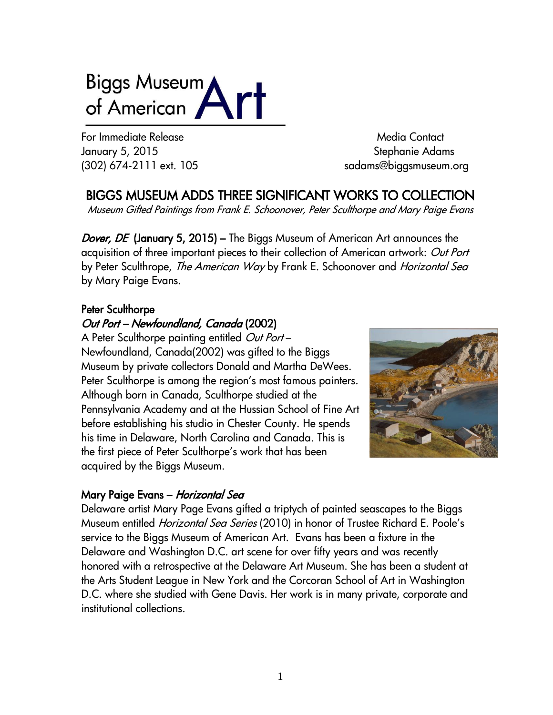# Biggs Museum of American

For Immediate Release Media Contact Media Contact January 5, 2015 Stephanie Adams

(302) 674-2111 ext. 105 sadams@biggsmuseum.org

BIGGS MUSEUM ADDS THREE SIGNIFICANT WORKS TO COLLECTION

Museum Gifted Paintings from Frank E. Schoonover, Peter Sculthorpe and Mary Paige Evans

Dover, DE (January 5, 2015) – The Biggs Museum of American Art announces the acquisition of three important pieces to their collection of American artwork: *Out Port* by Peter Sculthrope, *The American Way* by Frank E. Schoonover and *Horizontal Sea* by Mary Paige Evans.

# Peter Sculthorpe

# Out Port – Newfoundland, Canada (2002)

A Peter Sculthorpe painting entitled *Out Port* – Newfoundland, Canada(2002) was gifted to the Biggs Museum by private collectors Donald and Martha DeWees. Peter Sculthorpe is among the region's most famous painters. Although born in Canada, Sculthorpe studied at the Pennsylvania Academy and at the Hussian School of Fine Art before establishing his studio in Chester County. He spends his time in Delaware, North Carolina and Canada. This is the first piece of Peter Sculthorpe's work that has been acquired by the Biggs Museum.



## Mary Paige Evans – *Horizontal Sea*

Delaware artist Mary Page Evans gifted a triptych of painted seascapes to the Biggs Museum entitled Horizontal Sea Series (2010) in honor of Trustee Richard E. Poole's service to the Biggs Museum of American Art. Evans has been a fixture in the Delaware and Washington D.C. art scene for over fifty years and was recently honored with a retrospective at the Delaware Art Museum. She has been a student at the Arts Student League in New York and the Corcoran School of Art in Washington D.C. where she studied with Gene Davis. Her work is in many private, corporate and institutional collections.